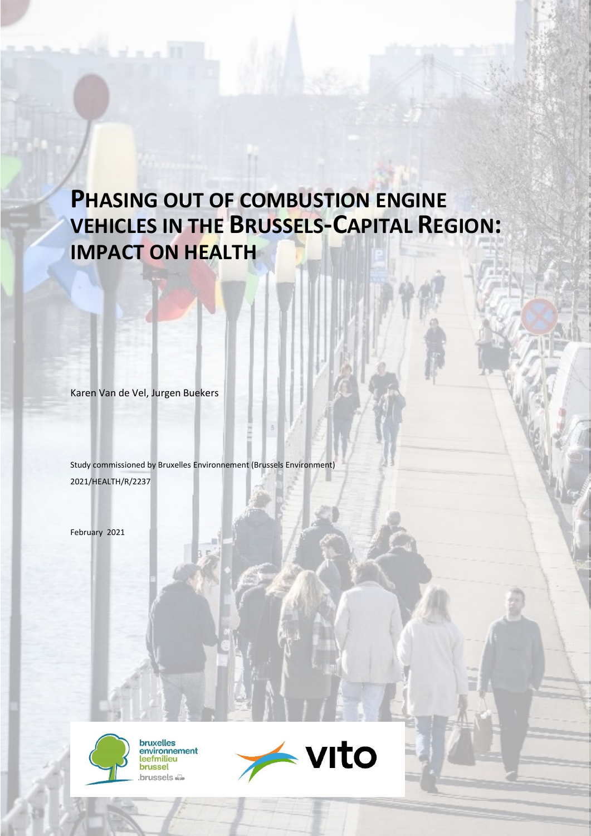# **PHASING OUT OF COMBUSTION ENGINE VEHICLES IN THE BRUSSELS-CAPITAL REGION: IMPACT ON HEALTH**

Karen Van de Vel, Jurgen Buekers

Study commissioned by Bruxelles Environnement (Brussels Environment) 2021/HEALTH/R/2237

February 2021



bruxelles<br>environnement leefmilieu brussel brussels &

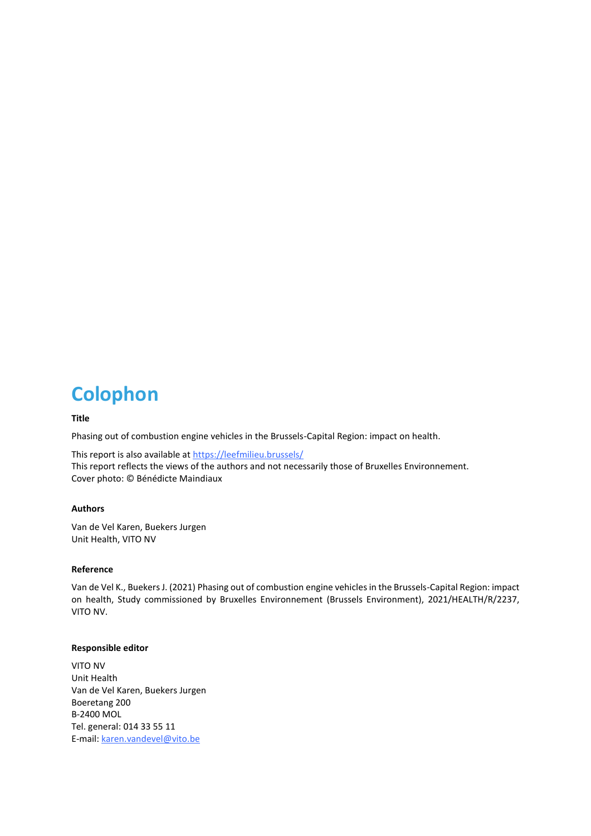# **Colophon**

#### **Title**

Phasing out of combustion engine vehicles in the Brussels-Capital Region: impact on health.

This report is also available at<https://leefmilieu.brussels/> This report reflects the views of the authors and not necessarily those of Bruxelles Environnement. Cover photo: © Bénédicte Maindiaux

#### **Authors**

Van de Vel Karen, Buekers Jurgen Unit Health, VITO NV

#### **Reference**

Van de Vel K., Buekers J. (2021) Phasing out of combustion engine vehicles in the Brussels-Capital Region: impact on health, Study commissioned by Bruxelles Environnement (Brussels Environment), 2021/HEALTH/R/2237, VITO NV.

#### **Responsible editor**

VITO NV Unit Health Van de Vel Karen, Buekers Jurgen Boeretang 200 B-2400 MOL Tel. general: 014 33 55 11 E-mail: [karen.vandevel@vito.be](mailto:karen.vandevel@vito.be)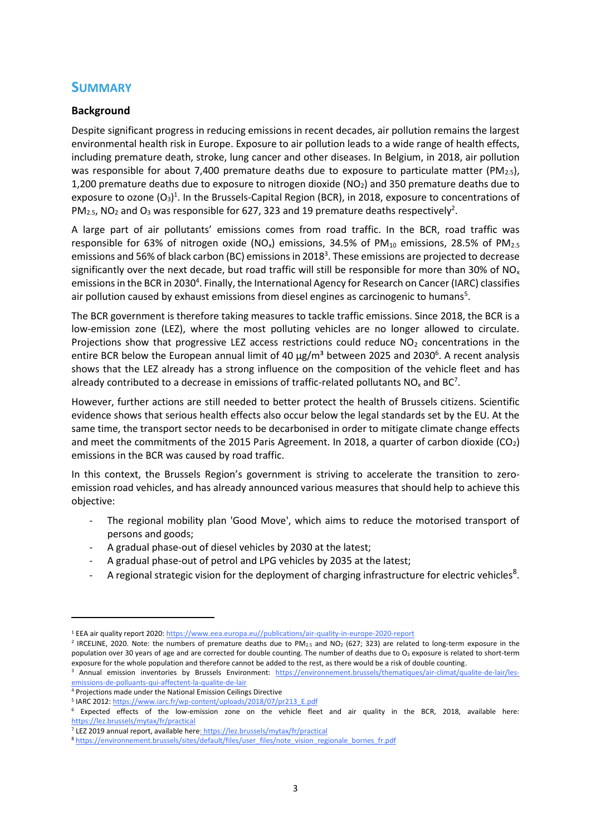## **SUMMARY**

## **Background**

Despite significant progress in reducing emissions in recent decades, air pollution remains the largest environmental health risk in Europe. Exposure to air pollution leads to a wide range of health effects, including premature death, stroke, lung cancer and other diseases. In Belgium, in 2018, air pollution was responsible for about 7,400 premature deaths due to exposure to particulate matter ( $PM_{2.5}$ ), 1,200 premature deaths due to exposure to nitrogen dioxide ( $NO<sub>2</sub>$ ) and 350 premature deaths due to exposure to ozone  $(O_3)^1$ . In the Brussels-Capital Region (BCR), in 2018, exposure to concentrations of PM<sub>2.5</sub>, NO<sub>2</sub> and O<sub>3</sub> was responsible for 627, 323 and 19 premature deaths respectively<sup>2</sup>.

A large part of air pollutants' emissions comes from road traffic. In the BCR, road traffic was responsible for 63% of nitrogen oxide (NO<sub>x</sub>) emissions, 34.5% of PM<sub>10</sub> emissions, 28.5% of PM<sub>2.5</sub> emissions and 56% of black carbon (BC) emissions in 2018<sup>3</sup>. These emissions are projected to decrease significantly over the next decade, but road traffic will still be responsible for more than 30% of NO<sub>x</sub> emissions in the BCR in 2030<sup>4</sup>. Finally, the International Agency for Research on Cancer (IARC) classifies air pollution caused by exhaust emissions from diesel engines as carcinogenic to humans<sup>5</sup>.

The BCR government is therefore taking measures to tackle traffic emissions. Since 2018, the BCR is a low-emission zone (LEZ), where the most polluting vehicles are no longer allowed to circulate. Projections show that progressive LEZ access restrictions could reduce  $NO<sub>2</sub>$  concentrations in the entire BCR below the European annual limit of 40  $\mu$ g/m<sup>3</sup> between 2025 and 2030<sup>6</sup>. A recent analysis shows that the LEZ already has a strong influence on the composition of the vehicle fleet and has already contributed to a decrease in emissions of traffic-related pollutants  $NO_x$  and  $BC^7$ .

However, further actions are still needed to better protect the health of Brussels citizens. Scientific evidence shows that serious health effects also occur below the legal standards set by the EU. At the same time, the transport sector needs to be decarbonised in order to mitigate climate change effects and meet the commitments of the 2015 Paris Agreement. In 2018, a quarter of carbon dioxide  $(CO_2)$ emissions in the BCR was caused by road traffic.

In this context, the Brussels Region's government is striving to accelerate the transition to zeroemission road vehicles, and has already announced various measures that should help to achieve this objective:

- The regional mobility plan 'Good Move', which aims to reduce the motorised transport of persons and goods;
- A gradual phase-out of diesel vehicles by 2030 at the latest;
- A gradual phase-out of petrol and LPG vehicles by 2035 at the latest;
- A regional strategic vision for the deployment of charging infrastructure for electric vehicles<sup>8</sup>.

<sup>&</sup>lt;sup>1</sup> EEA air quality report 2020: https://www.eea.europa.eu//publications/air-quality-in-europe-2020-report

<sup>&</sup>lt;sup>2</sup> IRCELINE, 2020. Note: the numbers of premature deaths due to PM<sub>2.5</sub> and NO<sub>2</sub> (627; 323) are related to long-term exposure in the population over 30 years of age and are corrected for double counting. The number of deaths due to  $O_3$  exposure is related to short-term exposure for the whole population and therefore cannot be added to the rest, as there would be a risk of double counting.

<sup>&</sup>lt;sup>3</sup> Annual emission inventories by Brussels Environment: [https://environnement.brussels/thematiques/air-climat/qualite-de-lair/les](https://environnement.brussels/thematiques/air-climat/qualite-de-lair/les-emissions-de-polluants-qui-affectent-la-qualite-de-lair)[emissions-de-polluants-qui-affectent-la-qualite-de-lair](https://environnement.brussels/thematiques/air-climat/qualite-de-lair/les-emissions-de-polluants-qui-affectent-la-qualite-de-lair)

<sup>4</sup> Projections made under the National Emission Ceilings Directive

<sup>&</sup>lt;sup>5</sup> IARC 2012[: https://www.iarc.fr/wp-content/uploads/2018/07/pr213\\_E.pdf](https://www.iarc.fr/wp-content/uploads/2018/07/pr213_E.pdf)

<sup>6</sup> Expected effects of the low-emission zone on the vehicle fleet and air quality in the BCR, 2018, available here: <https://lez.brussels/mytax/fr/practical>

<sup>7</sup> LEZ 2019 annual report, available her[e: https://lez.brussels/mytax/fr/practical](file:///C:/Users/lduprez/AppData/Local/Microsoft/Windows/INetCache/Content.Outlook/7PSVY1AW/:%20https:/lez.brussels/mytax/fr/practical) 

<sup>8</sup> [https://environnement.brussels/sites/default/files/user\\_files/note\\_vision\\_regionale\\_bornes\\_fr.pdf](https://environnement.brussels/sites/default/files/user_files/note_vision_regionale_bornes_fr.pdf)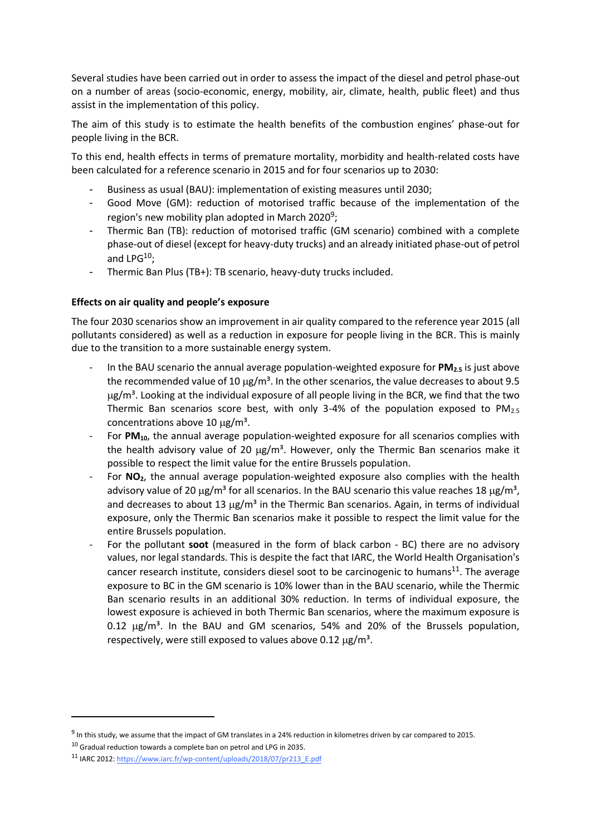Several studies have been carried out in order to assess the impact of the diesel and petrol phase-out on a number of areas (socio-economic, energy, mobility, air, climate, health, public fleet) and thus assist in the implementation of this policy.

The aim of this study is to estimate the health benefits of the combustion engines' phase-out for people living in the BCR.

To this end, health effects in terms of premature mortality, morbidity and health-related costs have been calculated for a reference scenario in 2015 and for four scenarios up to 2030:

- Business as usual (BAU): implementation of existing measures until 2030;
- Good Move (GM): reduction of motorised traffic because of the implementation of the region's new mobility plan adopted in March 2020<sup>9</sup>;
- Thermic Ban (TB): reduction of motorised traffic (GM scenario) combined with a complete phase-out of diesel (except for heavy-duty trucks) and an already initiated phase-out of petrol and  $LPG^{10}$ :
- Thermic Ban Plus (TB+): TB scenario, heavy-duty trucks included.

### **Effects on air quality and people's exposure**

The four 2030 scenarios show an improvement in air quality compared to the reference year 2015 (all pollutants considered) as well as a reduction in exposure for people living in the BCR. This is mainly due to the transition to a more sustainable energy system.

- In the BAU scenario the annual average population-weighted exposure for **PM2.5** is just above the recommended value of 10  $\mu$ g/m<sup>3</sup>. In the other scenarios, the value decreases to about 9.5  $\mu$ g/m<sup>3</sup>. Looking at the individual exposure of all people living in the BCR, we find that the two Thermic Ban scenarios score best, with only 3-4% of the population exposed to  $PM_{2.5}$ concentrations above 10  $\mu$ g/m<sup>3</sup>.
- For PM<sub>10</sub>, the annual average population-weighted exposure for all scenarios complies with the health advisory value of 20  $\mu$ g/m<sup>3</sup>. However, only the Thermic Ban scenarios make it possible to respect the limit value for the entire Brussels population.
- For **NO<sub>2</sub>**, the annual average population-weighted exposure also complies with the health advisory value of 20  $\mu$ g/m<sup>3</sup> for all scenarios. In the BAU scenario this value reaches 18  $\mu$ g/m<sup>3</sup>, and decreases to about 13  $\mu$ g/m<sup>3</sup> in the Thermic Ban scenarios. Again, in terms of individual exposure, only the Thermic Ban scenarios make it possible to respect the limit value for the entire Brussels population.
- For the pollutant **soot** (measured in the form of black carbon BC) there are no advisory values, nor legal standards. This is despite the fact that IARC, the World Health Organisation's cancer research institute, considers diesel soot to be carcinogenic to humans<sup>11</sup>. The average exposure to BC in the GM scenario is 10% lower than in the BAU scenario, while the Thermic Ban scenario results in an additional 30% reduction. In terms of individual exposure, the lowest exposure is achieved in both Thermic Ban scenarios, where the maximum exposure is 0.12  $\mu$ g/m<sup>3</sup>. In the BAU and GM scenarios, 54% and 20% of the Brussels population, respectively, were still exposed to values above 0.12  $\mu$ g/m<sup>3</sup>.

**.** 

<sup>&</sup>lt;sup>9</sup> In this study, we assume that the impact of GM translates in a 24% reduction in kilometres driven by car compared to 2015.

 $10$  Gradual reduction towards a complete ban on petrol and LPG in 2035.

<sup>11</sup> IARC 2012[: https://www.iarc.fr/wp-content/uploads/2018/07/pr213\\_E.pdf](https://www.iarc.fr/wp-content/uploads/2018/07/pr213_E.pdf)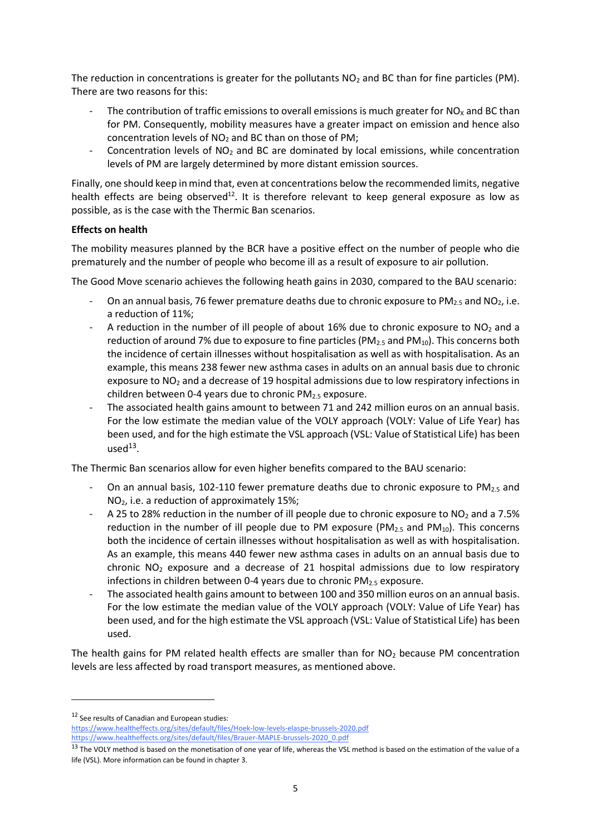The reduction in concentrations is greater for the pollutants  $NO<sub>2</sub>$  and BC than for fine particles (PM). There are two reasons for this:

- The contribution of traffic emissions to overall emissions is much greater for  $NO<sub>x</sub>$  and BC than for PM. Consequently, mobility measures have a greater impact on emission and hence also concentration levels of  $NO<sub>2</sub>$  and BC than on those of PM;
- Concentration levels of NO<sup>2</sup> and BC are dominated by local emissions, while concentration levels of PM are largely determined by more distant emission sources.

Finally, one should keep in mind that, even at concentrations below the recommended limits, negative health effects are being observed<sup>12</sup>. It is therefore relevant to keep general exposure as low as possible, as is the case with the Thermic Ban scenarios.

### **Effects on health**

The mobility measures planned by the BCR have a positive effect on the number of people who die prematurely and the number of people who become ill as a result of exposure to air pollution.

The Good Move scenario achieves the following heath gains in 2030, compared to the BAU scenario:

- On an annual basis, 76 fewer premature deaths due to chronic exposure to  $PM_{2.5}$  and NO<sub>2</sub>, i.e. a reduction of 11%;
- A reduction in the number of ill people of about 16% due to chronic exposure to  $NO<sub>2</sub>$  and a reduction of around 7% due to exposure to fine particles (PM<sub>2.5</sub> and PM<sub>10</sub>). This concerns both the incidence of certain illnesses without hospitalisation as well as with hospitalisation. As an example, this means 238 fewer new asthma cases in adults on an annual basis due to chronic exposure to NO<sub>2</sub> and a decrease of 19 hospital admissions due to low respiratory infections in children between 0-4 years due to chronic PM2.5 exposure.
- The associated health gains amount to between 71 and 242 million euros on an annual basis. For the low estimate the median value of the VOLY approach (VOLY: Value of Life Year) has been used, and for the high estimate the VSL approach (VSL: Value of Statistical Life) has been  $used<sup>13</sup>$ .

The Thermic Ban scenarios allow for even higher benefits compared to the BAU scenario:

- On an annual basis, 102-110 fewer premature deaths due to chronic exposure to  $PM_{2.5}$  and NO2, i.e. a reduction of approximately 15%;
- A 25 to 28% reduction in the number of ill people due to chronic exposure to NO<sub>2</sub> and a 7.5% reduction in the number of ill people due to PM exposure ( $PM_{2.5}$  and  $PM_{10}$ ). This concerns both the incidence of certain illnesses without hospitalisation as well as with hospitalisation. As an example, this means 440 fewer new asthma cases in adults on an annual basis due to chronic  $NO<sub>2</sub>$  exposure and a decrease of 21 hospital admissions due to low respiratory infections in children between 0-4 years due to chronic  $PM<sub>2.5</sub>$  exposure.
- The associated health gains amount to between 100 and 350 million euros on an annual basis. For the low estimate the median value of the VOLY approach (VOLY: Value of Life Year) has been used, and for the high estimate the VSL approach (VSL: Value of Statistical Life) has been used.

The health gains for PM related health effects are smaller than for  $NO<sub>2</sub>$  because PM concentration levels are less affected by road transport measures, as mentioned above.

<sup>&</sup>lt;sup>12</sup> See results of Canadian and European studies:

<https://www.healtheffects.org/sites/default/files/Hoek-low-levels-elaspe-brussels-2020.pdf> [https://www.healtheffects.org/sites/default/files/Brauer-MAPLE-brussels-2020\\_0.pdf](https://www.healtheffects.org/sites/default/files/Brauer-MAPLE-brussels-2020_0.pdf)

<sup>&</sup>lt;sup>13</sup> The VOLY method is based on the monetisation of one year of life, whereas the VSL method is based on the estimation of the value of a life (VSL). More information can be found in chapter 3.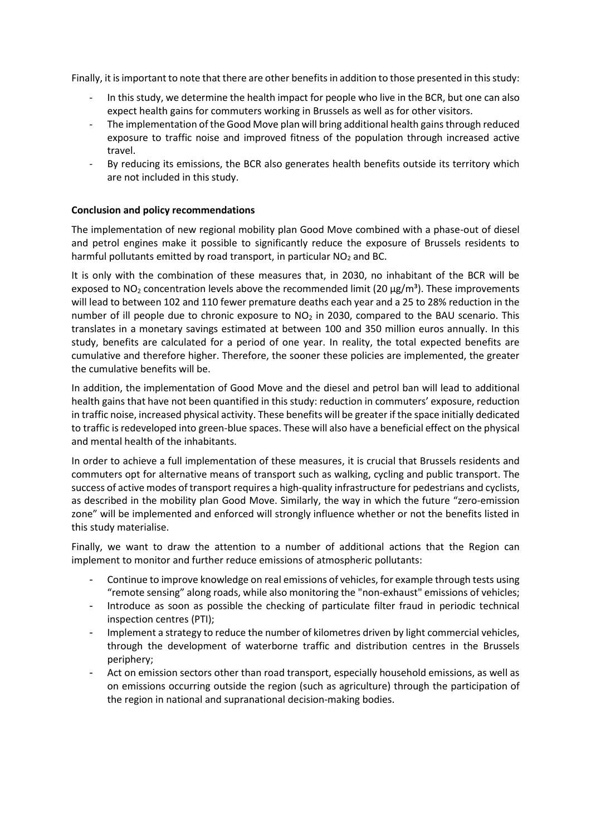Finally, it is important to note that there are other benefits in addition to those presented in this study:

- In this study, we determine the health impact for people who live in the BCR, but one can also expect health gains for commuters working in Brussels as well as for other visitors.
- The implementation of the Good Move plan will bring additional health gains through reduced exposure to traffic noise and improved fitness of the population through increased active travel.
- By reducing its emissions, the BCR also generates health benefits outside its territory which are not included in this study.

#### **Conclusion and policy recommendations**

The implementation of new regional mobility plan Good Move combined with a phase-out of diesel and petrol engines make it possible to significantly reduce the exposure of Brussels residents to harmful pollutants emitted by road transport, in particular  $NO<sub>2</sub>$  and BC.

It is only with the combination of these measures that, in 2030, no inhabitant of the BCR will be exposed to  $NO<sub>2</sub>$  concentration levels above the recommended limit (20  $\mu$ g/m<sup>3</sup>). These improvements will lead to between 102 and 110 fewer premature deaths each year and a 25 to 28% reduction in the number of ill people due to chronic exposure to  $NO<sub>2</sub>$  in 2030, compared to the BAU scenario. This translates in a monetary savings estimated at between 100 and 350 million euros annually. In this study, benefits are calculated for a period of one year. In reality, the total expected benefits are cumulative and therefore higher. Therefore, the sooner these policies are implemented, the greater the cumulative benefits will be.

In addition, the implementation of Good Move and the diesel and petrol ban will lead to additional health gains that have not been quantified in this study: reduction in commuters' exposure, reduction in traffic noise, increased physical activity. These benefits will be greater if the space initially dedicated to traffic is redeveloped into green-blue spaces. These will also have a beneficial effect on the physical and mental health of the inhabitants.

In order to achieve a full implementation of these measures, it is crucial that Brussels residents and commuters opt for alternative means of transport such as walking, cycling and public transport. The success of active modes of transport requires a high-quality infrastructure for pedestrians and cyclists, as described in the mobility plan Good Move. Similarly, the way in which the future "zero-emission zone" will be implemented and enforced will strongly influence whether or not the benefits listed in this study materialise.

Finally, we want to draw the attention to a number of additional actions that the Region can implement to monitor and further reduce emissions of atmospheric pollutants:

- Continue to improve knowledge on real emissions of vehicles, for example through tests using "remote sensing" along roads, while also monitoring the "non-exhaust" emissions of vehicles;
- Introduce as soon as possible the checking of particulate filter fraud in periodic technical inspection centres (PTI);
- Implement a strategy to reduce the number of kilometres driven by light commercial vehicles, through the development of waterborne traffic and distribution centres in the Brussels periphery;
- Act on emission sectors other than road transport, especially household emissions, as well as on emissions occurring outside the region (such as agriculture) through the participation of the region in national and supranational decision-making bodies.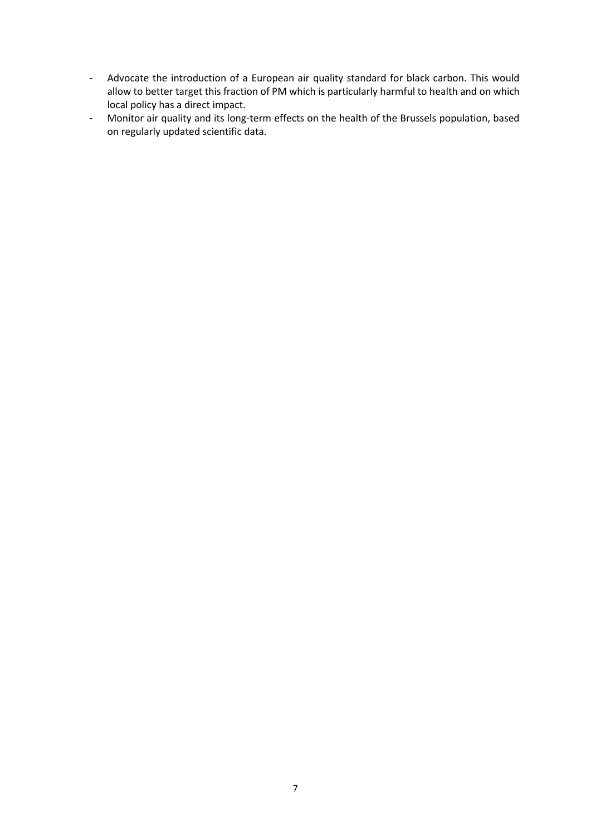- Advocate the introduction of a European air quality standard for black carbon. This would allow to better target this fraction of PM which is particularly harmful to health and on which local policy has a direct impact.
- Monitor air quality and its long-term effects on the health of the Brussels population, based on regularly updated scientific data.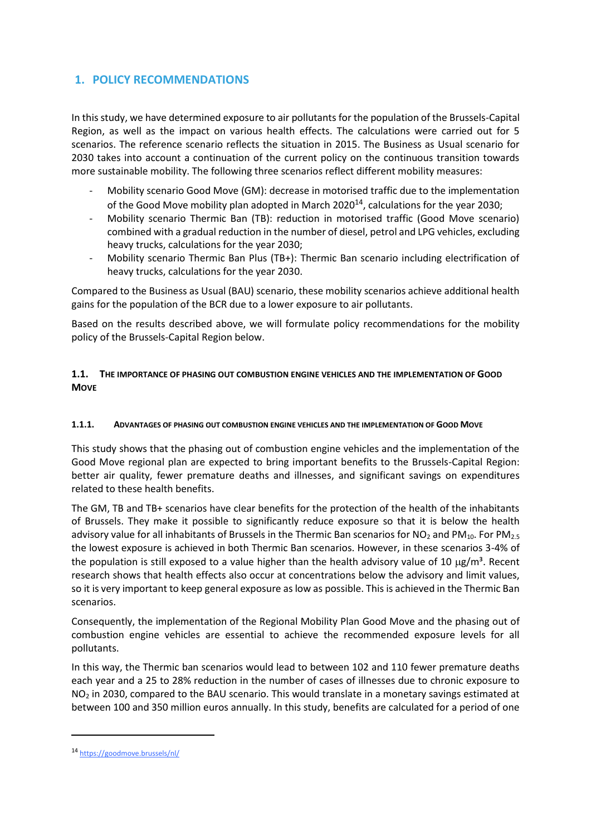## **1. POLICY RECOMMENDATIONS**

In this study, we have determined exposure to air pollutants for the population of the Brussels-Capital Region, as well as the impact on various health effects. The calculations were carried out for 5 scenarios. The reference scenario reflects the situation in 2015. The Business as Usual scenario for 2030 takes into account a continuation of the current policy on the continuous transition towards more sustainable mobility. The following three scenarios reflect different mobility measures:

- Mobility scenario Good Move (GM): decrease in motorised traffic due to the implementation of the Good Move mobility plan adopted in March 2020<sup>14</sup>, calculations for the year 2030;
- Mobility scenario Thermic Ban (TB): reduction in motorised traffic (Good Move scenario) combined with a gradual reduction in the number of diesel, petrol and LPG vehicles, excluding heavy trucks, calculations for the year 2030;
- Mobility scenario Thermic Ban Plus (TB+): Thermic Ban scenario including electrification of heavy trucks, calculations for the year 2030.

Compared to the Business as Usual (BAU) scenario, these mobility scenarios achieve additional health gains for the population of the BCR due to a lower exposure to air pollutants.

Based on the results described above, we will formulate policy recommendations for the mobility policy of the Brussels-Capital Region below.

### **1.1. THE IMPORTANCE OF PHASING OUT COMBUSTION ENGINE VEHICLES AND THE IMPLEMENTATION OF GOOD MOVE**

#### **1.1.1. ADVANTAGES OF PHASING OUT COMBUSTION ENGINE VEHICLES AND THE IMPLEMENTATION OF GOOD MOVE**

This study shows that the phasing out of combustion engine vehicles and the implementation of the Good Move regional plan are expected to bring important benefits to the Brussels-Capital Region: better air quality, fewer premature deaths and illnesses, and significant savings on expenditures related to these health benefits.

The GM, TB and TB+ scenarios have clear benefits for the protection of the health of the inhabitants of Brussels. They make it possible to significantly reduce exposure so that it is below the health advisory value for all inhabitants of Brussels in the Thermic Ban scenarios for  $NO<sub>2</sub>$  and PM<sub>10</sub>. For PM<sub>2.5</sub> the lowest exposure is achieved in both Thermic Ban scenarios. However, in these scenarios 3-4% of the population is still exposed to a value higher than the health advisory value of 10  $\mu$ g/m<sup>3</sup>. Recent research shows that health effects also occur at concentrations below the advisory and limit values, so it is very important to keep general exposure as low as possible. This is achieved in the Thermic Ban scenarios.

Consequently, the implementation of the Regional Mobility Plan Good Move and the phasing out of combustion engine vehicles are essential to achieve the recommended exposure levels for all pollutants.

In this way, the Thermic ban scenarios would lead to between 102 and 110 fewer premature deaths each year and a 25 to 28% reduction in the number of cases of illnesses due to chronic exposure to NO<sub>2</sub> in 2030, compared to the BAU scenario. This would translate in a monetary savings estimated at between 100 and 350 million euros annually. In this study, benefits are calculated for a period of one

<sup>14</sup> <https://goodmove.brussels/nl/>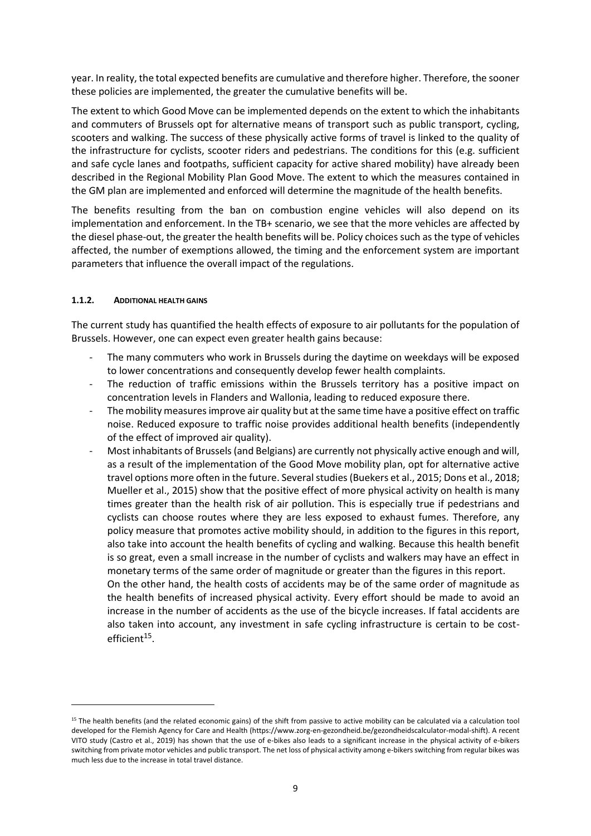year. In reality, the total expected benefits are cumulative and therefore higher. Therefore, the sooner these policies are implemented, the greater the cumulative benefits will be.

The extent to which Good Move can be implemented depends on the extent to which the inhabitants and commuters of Brussels opt for alternative means of transport such as public transport, cycling, scooters and walking. The success of these physically active forms of travel is linked to the quality of the infrastructure for cyclists, scooter riders and pedestrians. The conditions for this (e.g. sufficient and safe cycle lanes and footpaths, sufficient capacity for active shared mobility) have already been described in the Regional Mobility Plan Good Move. The extent to which the measures contained in the GM plan are implemented and enforced will determine the magnitude of the health benefits.

The benefits resulting from the ban on combustion engine vehicles will also depend on its implementation and enforcement. In the TB+ scenario, we see that the more vehicles are affected by the diesel phase-out, the greater the health benefits will be. Policy choices such as the type of vehicles affected, the number of exemptions allowed, the timing and the enforcement system are important parameters that influence the overall impact of the regulations.

#### **1.1.2. ADDITIONAL HEALTH GAINS**

1

The current study has quantified the health effects of exposure to air pollutants for the population of Brussels. However, one can expect even greater health gains because:

- The many commuters who work in Brussels during the daytime on weekdays will be exposed to lower concentrations and consequently develop fewer health complaints.
- The reduction of traffic emissions within the Brussels territory has a positive impact on concentration levels in Flanders and Wallonia, leading to reduced exposure there.
- The mobility measures improve air quality but at the same time have a positive effect on traffic noise. Reduced exposure to traffic noise provides additional health benefits (independently of the effect of improved air quality).
- Most inhabitants of Brussels (and Belgians) are currently not physically active enough and will, as a result of the implementation of the Good Move mobility plan, opt for alternative active travel options more often in the future. Several studies (Buekers et al., 2015; Dons et al., 2018; Mueller et al., 2015) show that the positive effect of more physical activity on health is many times greater than the health risk of air pollution. This is especially true if pedestrians and cyclists can choose routes where they are less exposed to exhaust fumes. Therefore, any policy measure that promotes active mobility should, in addition to the figures in this report, also take into account the health benefits of cycling and walking. Because this health benefit is so great, even a small increase in the number of cyclists and walkers may have an effect in monetary terms of the same order of magnitude or greater than the figures in this report. On the other hand, the health costs of accidents may be of the same order of magnitude as the health benefits of increased physical activity. Every effort should be made to avoid an increase in the number of accidents as the use of the bicycle increases. If fatal accidents are also taken into account, any investment in safe cycling infrastructure is certain to be costefficient<sup>15</sup>.

<sup>&</sup>lt;sup>15</sup> The health benefits (and the related economic gains) of the shift from passive to active mobility can be calculated via a calculation tool developed for the Flemish Agency for Care and Health (https://www.zorg-en-gezondheid.be/gezondheidscalculator-modal-shift). A recent VITO study (Castro et al., 2019) has shown that the use of e-bikes also leads to a significant increase in the physical activity of e-bikers switching from private motor vehicles and public transport. The net loss of physical activity among e-bikers switching from regular bikes was much less due to the increase in total travel distance.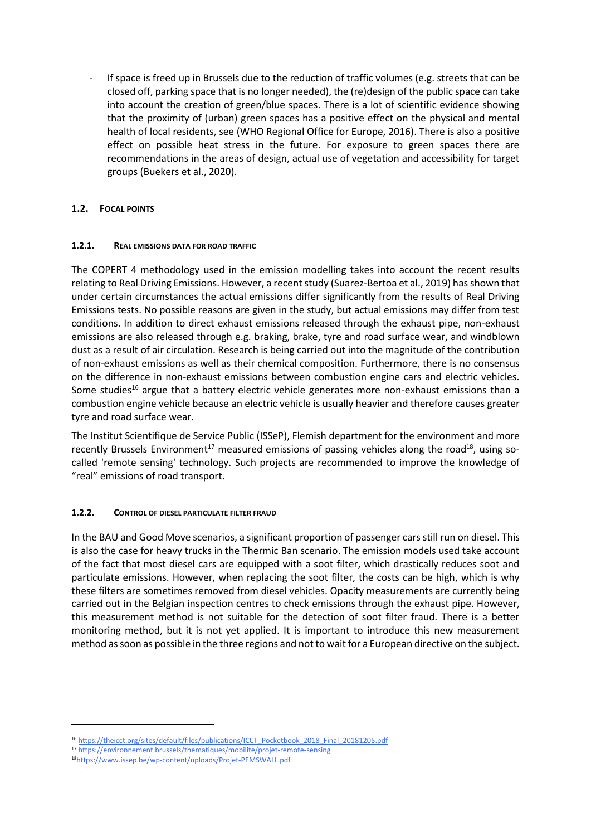If space is freed up in Brussels due to the reduction of traffic volumes (e.g. streets that can be closed off, parking space that is no longer needed), the (re)design of the public space can take into account the creation of green/blue spaces. There is a lot of scientific evidence showing that the proximity of (urban) green spaces has a positive effect on the physical and mental health of local residents, see (WHO Regional Office for Europe, 2016). There is also a positive effect on possible heat stress in the future. For exposure to green spaces there are recommendations in the areas of design, actual use of vegetation and accessibility for target groups (Buekers et al., 2020).

## **1.2. FOCAL POINTS**

### **1.2.1. REAL EMISSIONS DATA FOR ROAD TRAFFIC**

The COPERT 4 methodology used in the emission modelling takes into account the recent results relating to Real Driving Emissions. However, a recent study (Suarez-Bertoa et al., 2019) has shown that under certain circumstances the actual emissions differ significantly from the results of Real Driving Emissions tests. No possible reasons are given in the study, but actual emissions may differ from test conditions. In addition to direct exhaust emissions released through the exhaust pipe, non-exhaust emissions are also released through e.g. braking, brake, tyre and road surface wear, and windblown dust as a result of air circulation. Research is being carried out into the magnitude of the contribution of non-exhaust emissions as well as their chemical composition. Furthermore, there is no consensus on the difference in non-exhaust emissions between combustion engine cars and electric vehicles. Some studies<sup>16</sup> argue that a battery electric vehicle generates more non-exhaust emissions than a combustion engine vehicle because an electric vehicle is usually heavier and therefore causes greater tyre and road surface wear.

The Institut Scientifique de Service Public (ISSeP), Flemish department for the environment and more recently Brussels Environment<sup>17</sup> measured emissions of passing vehicles along the road<sup>18</sup>, using socalled 'remote sensing' technology. Such projects are recommended to improve the knowledge of "real" emissions of road transport.

## **1.2.2. CONTROL OF DIESEL PARTICULATE FILTER FRAUD**

In the BAU and Good Move scenarios, a significant proportion of passenger cars still run on diesel. This is also the case for heavy trucks in the Thermic Ban scenario. The emission models used take account of the fact that most diesel cars are equipped with a soot filter, which drastically reduces soot and particulate emissions. However, when replacing the soot filter, the costs can be high, which is why these filters are sometimes removed from diesel vehicles. Opacity measurements are currently being carried out in the Belgian inspection centres to check emissions through the exhaust pipe. However, this measurement method is not suitable for the detection of soot filter fraud. There is a better monitoring method, but it is not yet applied. It is important to introduce this new measurement method as soon as possible in the three regions and not to wait for a European directive on the subject.

<sup>16</sup> [https://theicct.org/sites/default/files/publications/ICCT\\_Pocketbook\\_2018\\_Final\\_20181205.pdf](https://theicct.org/sites/default/files/publications/ICCT_Pocketbook_2018_Final_20181205.pdf)

<sup>17</sup> <https://environnement.brussels/thematiques/mobilite/projet-remote-sensing>

<sup>18</sup><https://www.issep.be/wp-content/uploads/Projet-PEMSWALL.pdf>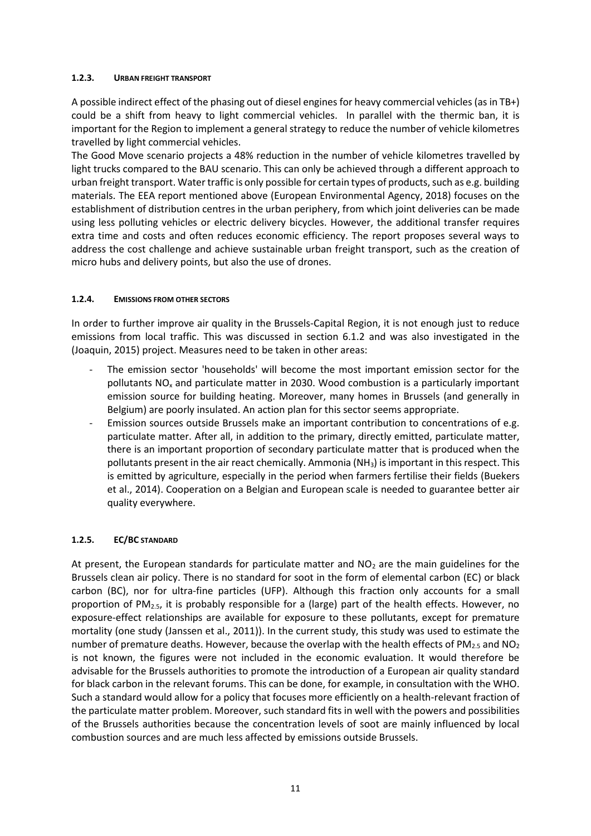#### **1.2.3. URBAN FREIGHT TRANSPORT**

A possible indirect effect of the phasing out of diesel engines for heavy commercial vehicles (as in TB+) could be a shift from heavy to light commercial vehicles. In parallel with the thermic ban, it is important for the Region to implement a general strategy to reduce the number of vehicle kilometres travelled by light commercial vehicles.

The Good Move scenario projects a 48% reduction in the number of vehicle kilometres travelled by light trucks compared to the BAU scenario. This can only be achieved through a different approach to urban freight transport. Water traffic is only possible for certain types of products, such as e.g. building materials. The EEA report mentioned above (European Environmental Agency, 2018) focuses on the establishment of distribution centres in the urban periphery, from which joint deliveries can be made using less polluting vehicles or electric delivery bicycles. However, the additional transfer requires extra time and costs and often reduces economic efficiency. The report proposes several ways to address the cost challenge and achieve sustainable urban freight transport, such as the creation of micro hubs and delivery points, but also the use of drones.

### **1.2.4. EMISSIONS FROM OTHER SECTORS**

In order to further improve air quality in the Brussels-Capital Region, it is not enough just to reduce emissions from local traffic. This was discussed in section 6.1.2 and was also investigated in the (Joaquin, 2015) project. Measures need to be taken in other areas:

- The emission sector 'households' will become the most important emission sector for the pollutants NO<sup>x</sup> and particulate matter in 2030. Wood combustion is a particularly important emission source for building heating. Moreover, many homes in Brussels (and generally in Belgium) are poorly insulated. An action plan for this sector seems appropriate.
- Emission sources outside Brussels make an important contribution to concentrations of e.g. particulate matter. After all, in addition to the primary, directly emitted, particulate matter, there is an important proportion of secondary particulate matter that is produced when the pollutants present in the air react chemically. Ammonia (NH3) is important in this respect. This is emitted by agriculture, especially in the period when farmers fertilise their fields (Buekers et al., 2014). Cooperation on a Belgian and European scale is needed to guarantee better air quality everywhere.

## **1.2.5. EC/BC STANDARD**

At present, the European standards for particulate matter and  $NO<sub>2</sub>$  are the main guidelines for the Brussels clean air policy. There is no standard for soot in the form of elemental carbon (EC) or black carbon (BC), nor for ultra-fine particles (UFP). Although this fraction only accounts for a small proportion of  $PM_{2.5}$ , it is probably responsible for a (large) part of the health effects. However, no exposure-effect relationships are available for exposure to these pollutants, except for premature mortality (one study (Janssen et al., 2011)). In the current study, this study was used to estimate the number of premature deaths. However, because the overlap with the health effects of PM<sub>2.5</sub> and NO<sub>2</sub> is not known, the figures were not included in the economic evaluation. It would therefore be advisable for the Brussels authorities to promote the introduction of a European air quality standard for black carbon in the relevant forums. This can be done, for example, in consultation with the WHO. Such a standard would allow for a policy that focuses more efficiently on a health-relevant fraction of the particulate matter problem. Moreover, such standard fits in well with the powers and possibilities of the Brussels authorities because the concentration levels of soot are mainly influenced by local combustion sources and are much less affected by emissions outside Brussels.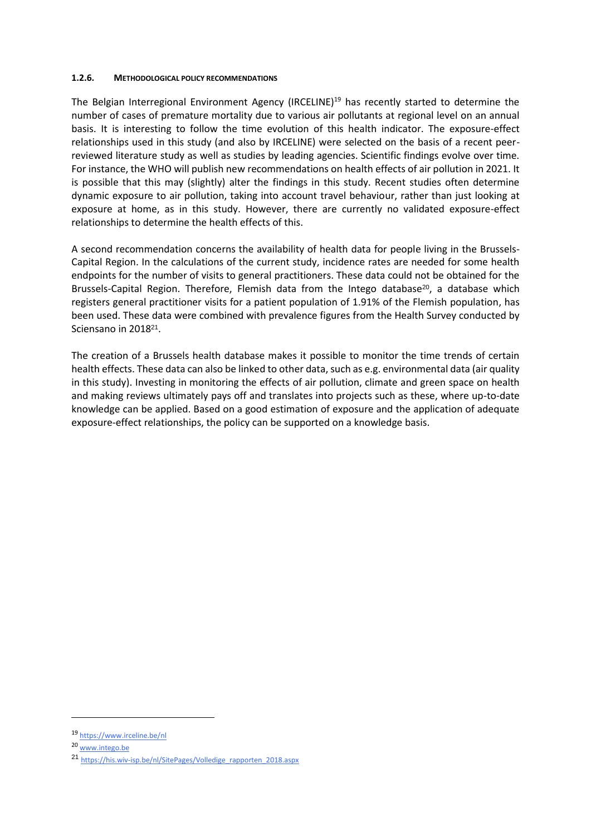#### **1.2.6. METHODOLOGICAL POLICY RECOMMENDATIONS**

The Belgian Interregional Environment Agency (IRCELINE)<sup>19</sup> has recently started to determine the number of cases of premature mortality due to various air pollutants at regional level on an annual basis. It is interesting to follow the time evolution of this health indicator. The exposure-effect relationships used in this study (and also by IRCELINE) were selected on the basis of a recent peerreviewed literature study as well as studies by leading agencies. Scientific findings evolve over time. For instance, the WHO will publish new recommendations on health effects of air pollution in 2021. It is possible that this may (slightly) alter the findings in this study. Recent studies often determine dynamic exposure to air pollution, taking into account travel behaviour, rather than just looking at exposure at home, as in this study. However, there are currently no validated exposure-effect relationships to determine the health effects of this.

A second recommendation concerns the availability of health data for people living in the Brussels-Capital Region. In the calculations of the current study, incidence rates are needed for some health endpoints for the number of visits to general practitioners. These data could not be obtained for the Brussels-Capital Region. Therefore, Flemish data from the Intego database<sup>20</sup>, a database which registers general practitioner visits for a patient population of 1.91% of the Flemish population, has been used. These data were combined with prevalence figures from the Health Survey conducted by Sciensano in 2018<sup>21</sup>.

The creation of a Brussels health database makes it possible to monitor the time trends of certain health effects. These data can also be linked to other data, such as e.g. environmental data (air quality in this study). Investing in monitoring the effects of air pollution, climate and green space on health and making reviews ultimately pays off and translates into projects such as these, where up-to-date knowledge can be applied. Based on a good estimation of exposure and the application of adequate exposure-effect relationships, the policy can be supported on a knowledge basis.

**.** 

<sup>19</sup> <https://www.irceline.be/nl>

<sup>20</sup> [www.intego.be](http://www.intego.be/)

<sup>21</sup> [https://his.wiv-isp.be/nl/SitePages/Volledige\\_rapporten\\_2018.aspx](https://his.wiv-isp.be/nl/SitePages/Volledige_rapporten_2018.aspx)